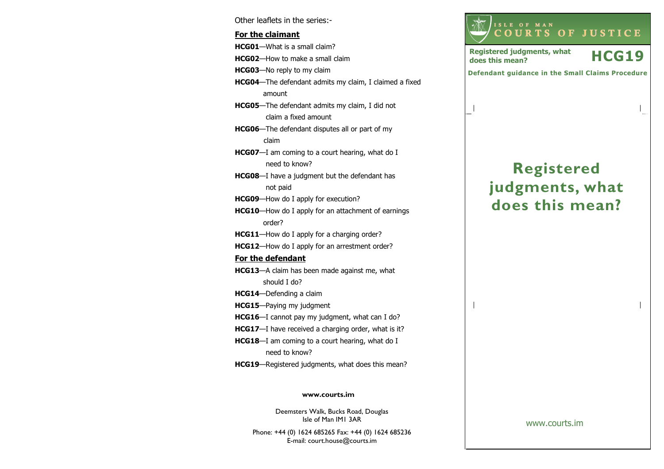Other leaflets in the series:- For the claimantHCG01—What is a small claim? HCG02—How to make a small claim HCG03—No reply to my claim HCG04—The defendant admits my claim, I claimed a fixed amount HCG05—The defendant admits my claim, I did not claim a fixed amount HCG06—The defendant disputes all or part of my claim HCG07-I am coming to a court hearing, what do I need to know? HCG08—I have a judgment but the defendant has not paid HCG09-How do I apply for execution? HCG10—How do I apply for an attachment of earnings order? HCG11—How do I apply for a charging order? HCG12—How do I apply for an arrestment order? For the defendantHCG13—A claim has been made against me, what should I do? HCG14—Defending a claim HCG15—Paying my judgment HCG16—I cannot pay my judgment, what can I do? HCG17-I have received a charging order, what is it? **HCG18**—I am coming to a court hearing, what do I need to know? HCG19—Registered judgments, what does this mean?

#### www.courts.im

Deemsters Walk, Bucks Road, Douglas Isle of Man IM1 3AR

Phone: +44 (0) 1624 685265 Fax: +44 (0) 1624 685236E-mail: court.house@courts.im



<sup>C</sup> <sup>O</sup> <sup>U</sup> <sup>R</sup> <sup>T</sup> <sup>S</sup> <sup>O</sup> <sup>F</sup> <sup>J</sup> <sup>U</sup> <sup>S</sup> <sup>T</sup> <sup>I</sup> <sup>C</sup> <sup>E</sup>

Registered judgments, what  $HCG19$ 

<sup>I</sup> <sup>S</sup> <sup>L</sup> <sup>E</sup> <sup>O</sup> <sup>F</sup> <sup>M</sup> <sup>A</sup> <sup>N</sup>

Registered judgments, what

www.courts.im